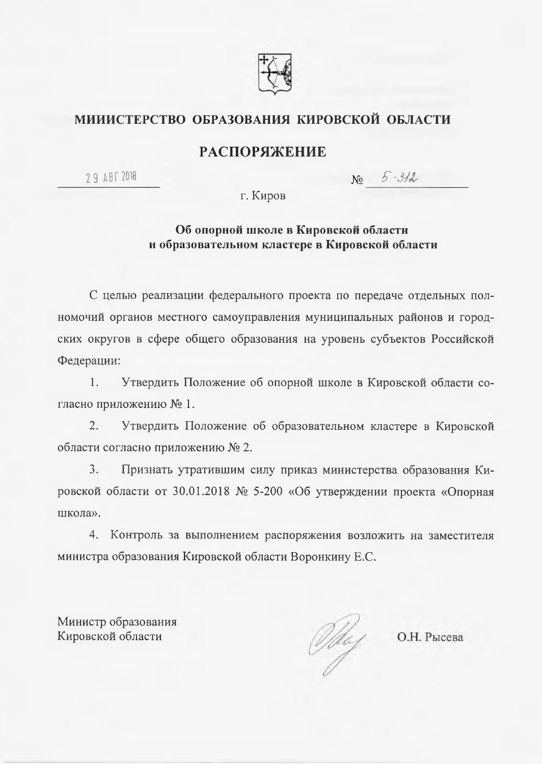

# МИИИСТЕРСТВО ОБРАЗОВАНИЯ КИРОВСКОЙ ОБЛАСТИ

# **РАСПОРЯЖЕНИЕ**

29 ABT 2018

No 5-312

г. Киров

## Об опорной школе в Кировской области и образовательном кластере в Кировской области

С целью реализации федерального проекта по передаче отдельных полномочий органов местного самоуправления муниципальных районов и городских округов в сфере общего образования на уровень субъектов Российской Федерации:

 $1.$ Утвердить Положение об опорной школе в Кировской области согласно приложению № 1.

 $2.$ Утвердить Положение об образовательном кластере в Кировской области согласно приложению № 2.

 $\mathbf{3}$ . Признать утратившим силу приказ министерства образования Кировской области от 30.01.2018 № 5-200 «Об утверждении проекта «Опорная школа».

4. Контроль за выполнением распоряжения возложить на заместителя министра образования Кировской области Воронкину Е.С.

Министр образования Кировской области

Oldey O.H. Pысева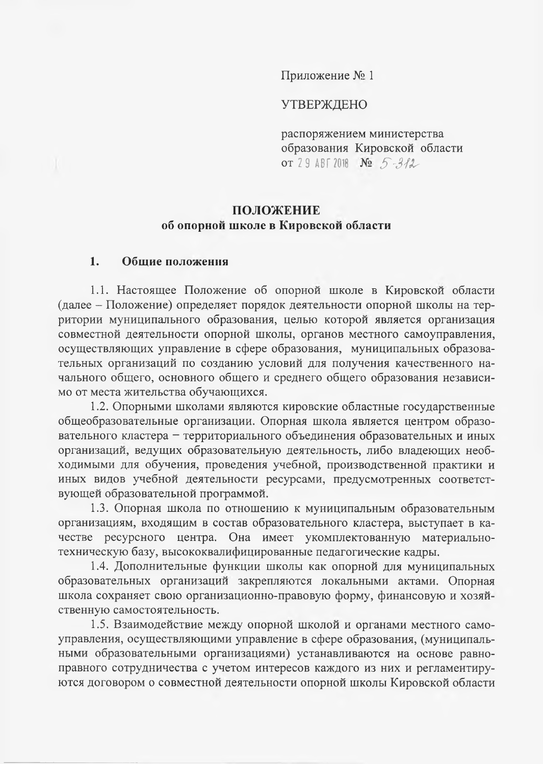Приложение № 1

### **УТВЕРЖДЕНО**

распоряжением министерства образования Кировской области OT 29 ABT 2018  $N_2$  5-312

# ПОЛОЖЕНИЕ об опорной школе в Кировской области

#### $1<sub>1</sub>$ Общие положения

1.1. Настоящее Положение об опорной школе в Кировской области (далее - Положение) определяет порядок деятельности опорной школы на территории муниципального образования, целью которой является организация совместной деятельности опорной школы, органов местного самоуправления, осуществляющих управление в сфере образования, муниципальных образовательных организаций по созданию условий для получения качественного начального общего, основного общего и среднего общего образования независимо от места жительства обучающихся.

1.2. Опорными школами являются кировские областные государственные общеобразовательные организации. Опорная школа является центром образовательного кластера - территориального объединения образовательных и иных организаций, ведущих образовательную деятельность, либо владеющих необходимыми для обучения, проведения учебной, производственной практики и иных видов учебной деятельности ресурсами, предусмотренных соответствующей образовательной программой.

1.3. Опорная школа по отношению к муниципальным образовательным организациям, входящим в состав образовательного кластера, выступает в качестве ресурсного центра. Она имеет укомплектованную материальнотехническую базу, высококвалифицированные педагогические кадры.

1.4. Дополнительные функции школы как опорной для муниципальных образовательных организаций закрепляются локальными актами. Опорная школа сохраняет свою организационно-правовую форму, финансовую и хозяйственную самостоятельность.

1.5. Взаимодействие между опорной школой и органами местного самоуправления, осуществляющими управление в сфере образования, (муниципальными образовательными организациями) устанавливаются на основе равноправного сотрудничества с учетом интересов каждого из них и регламентируются договором о совместной деятельности опорной школы Кировской области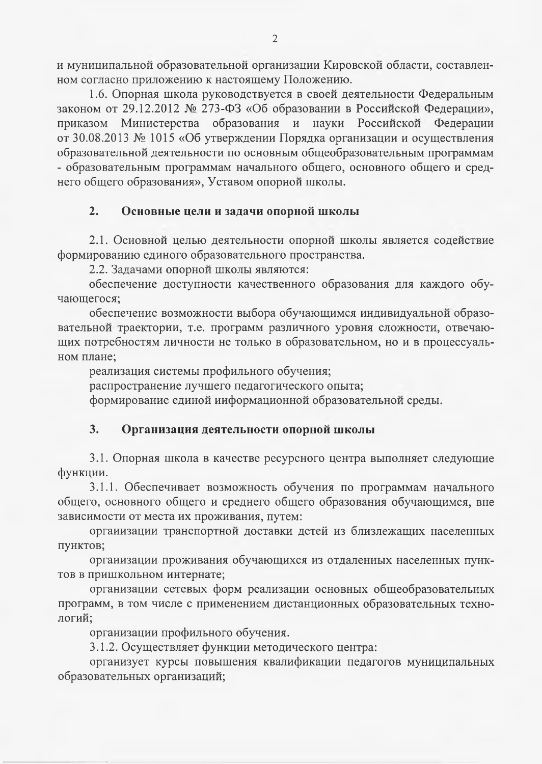и муниципальной образовательной организации Кировской области, составленном согласно приложению к настоящему Положению.

1.6. Опорная школа руководствуется в своей деятельности Федеральным законом от 29.12.2012 № 273-ФЗ «Об образовании в Российской Федерации», приказом Министерства образования и науки Российской Федерации от 30.08.2013 № 1015 «Об утверждении Порядка организации и осуществления образовательной деятельности по основным общеобразовательным программам - образовательным программам начального общего, основного общего и среднего общего образования», Уставом опорной школы.

#### $2.$ Основные цели и задачи опорной школы

2.1. Основной целью деятельности опорной школы является содействие формированию единого образовательного пространства.

2.2. Задачами опорной школы являются:

обеспечение доступности качественного образования для каждого обучающегося;

обеспечение возможности выбора обучающимся индивидуальной образовательной траектории, т.е. программ различного уровня сложности, отвечающих потребностям личности не только в образовательном, но и в процессуальном плане;

реализация системы профильного обучения; распространение лучшего педагогического опыта; формирование единой информационной образовательной среды.

#### $3.$ Организация деятельности опорной школы

3.1. Опорная школа в качестве ресурсного центра выполняет следующие функции.

3.1.1. Обеспечивает возможность обучения по программам начального общего, основного общего и среднего общего образования обучающимся, вне зависимости от места их проживания, путем:

оргаиизации транспортной доставки детей из близлежащих населенных пунктов;

организации проживания обучающихся из отдаленных населенных пунктов в пришкольном интернате;

организации сетевых форм реализации основных общеобразовательных программ, в том числе с применением дистанционных образовательных технологий;

организации профильного обучения.

3.1.2. Осуществляет функции методического центра:

организует курсы повышения квалификации педагогов муниципальных образовательных организаций;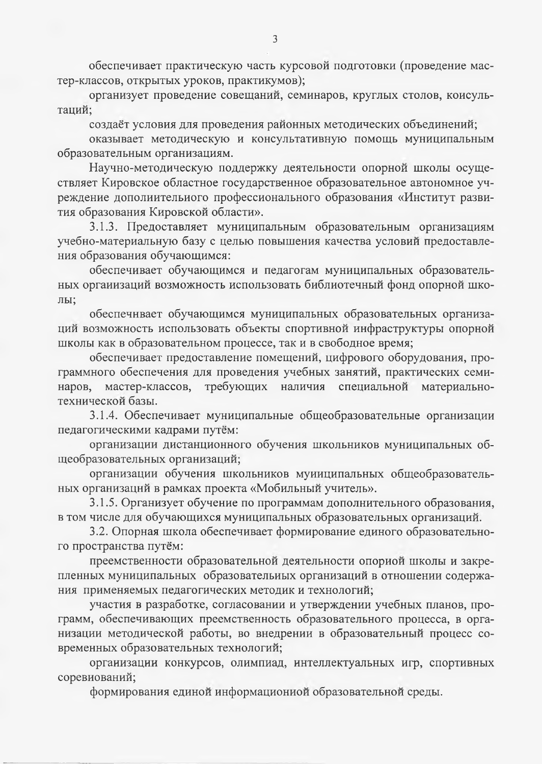обеспечивает практическую часть курсовой подготовки (проведение мастер-классов, открытых уроков, практикумов);

организует проведение совещаний, семинаров, круглых столов, коисультаций;

создаёт условия для проведения районных методических объединений;

оказывает методическую и консультативную помощь муниципальным образовательным организациям.

Научно-методическую поддержку деятельности опорной школы осуществляет Кировское областное государственное образовательное автономное учреждение дополиительиого профессионального образования «Институт развития образования Кировской области».

3.1.3. Предоставляет муниципальным образовательным организациям учебно-материальную базу с целью повышения качества условий предоставления образования обучающимся:

обеспечивает обучающимся и педагогам муниципальных образовательных оргаиизаций возможность использовать библиотечный фонд опорной школы;

обеспечнвает обучающимся муниципальных образовательных организаций возможность использовать объекты спортивной инфраструктуры опорной школы как в образовательном процессе, так и в свободное время;

обеспечивает предоставление помещений, цифрового оборудования, программного обеспечения для проведения учебных занятий, практических семинаров, мастер-классов, требующих наличия специальной материальнотехнической базы.

3.1.4. Обеспечивает муниципальные общеобразовательные организации педагогическими кадрами путём:

организации дистанционного обучения школьников муниципальных общеобразовательных организаций;

организации обучения школьников муииципальных общеобразовательных организаций в рамках проекта «Мобильный учитель».

3.1.5. Организует обучение по программам дополнительного образования, в том числе для обучающихся муниципальных образовательных организаций.

3.2. Опорная школа обеспечивает формирование единого образовательного пространства путём:

преемственности образовательной деятельности опориой школы и закрепленных муниципальных образовательиых организаций в отношении содержания применяемых педагогических методик и технологий;

участия в разработке, согласовании и утверждении учебных планов, программ, обеспечивающих преемственность образовательного процесса, в организации методической работы, во внедрении в образовательный процесс современных образовательных технологий;

организации конкурсов, олимпиад, интеллектуальных игр, спортивных соревиований;

формирования единой информациониой образовательной среды.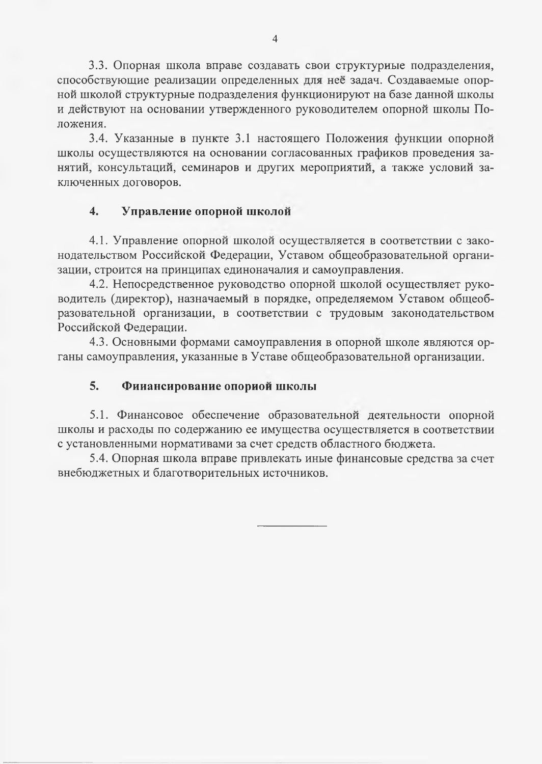3.3. Опорная школа вправе создавать свои структуриые подразделения, способствующие реализации определенных для неё задач. Создаваемые опорной школой структурные подразделения функционируют на базе данной школы и действуют на основании утвержденного руководителем опорной школы Положения.

3.4. Указанные в пункте 3.1 настоящего Положения функции опорной школы осуществляются на основании согласованных графиков проведения занятий, консультаций, семинаров и других мероприятий, а также условий заключенных договоров.

#### $\overline{4}$ . Управление опорной школой

4.1. Управление опорной школой осуществляется в соответствии с законодательством Российской Федерации, Уставом общеобразовательной организации, строится на принципах единоначалия и самоуправления.

4.2. Непосредственное руководство опорной школой осуществляет руководитель (директор), назначаемый в порядке, определяемом Уставом общеобразовательной организации, в соответствии с трудовым законодательством Российской Федерации.

4.3. Основными формами самоуправления в опорной школе являются органы самоуправления, указанные в Уставе общеобразовательной организации.

#### $5.$ Фииансирование опориой школы

5.1. Финансовое обеспечение образовательной деятельности опорной школы и расходы по содержанию ее имущества осуществляется в соответствии с установленными нормативами за счет средств областного бюджета.

5.4. Опорная школа вправе привлекать иные финансовые средства за счет внебюджетных и благотворительных источников.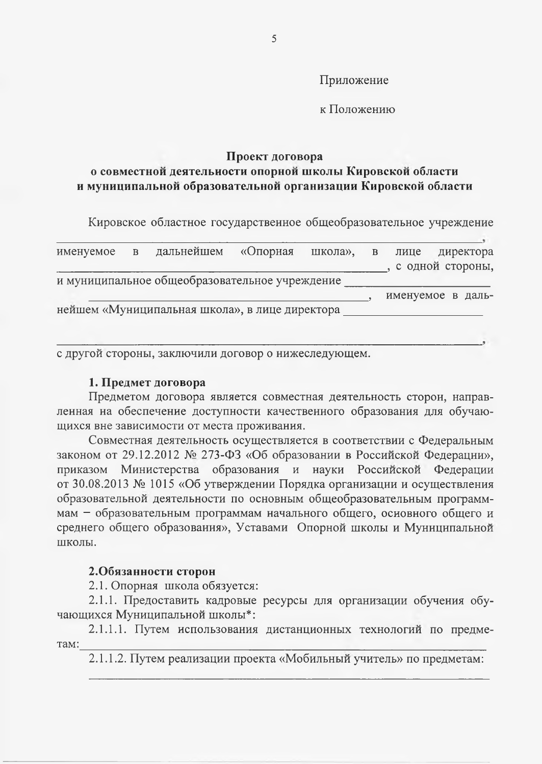Приложение

к Положению

# Проект договора

# о совместной деятельности опорной школы Кировской области и муниципальной образовательной организации Кировской области

Кировское областное государственное общеобразовательное учреждение

| именуемое | $\overline{B}$ | дальнейшем                                     | «Опорная | школа», в | лице              | директора |
|-----------|----------------|------------------------------------------------|----------|-----------|-------------------|-----------|
|           |                |                                                |          |           | с одной стороны,  |           |
|           |                | и муниципальное общеобразовательное учреждение |          |           |                   |           |
|           |                |                                                |          |           | именуемое в даль- |           |
|           |                | нейшем «Муниципальная школа», в лице директора |          |           |                   |           |
|           |                |                                                |          |           |                   |           |
|           |                |                                                |          |           |                   |           |

с другой стороны, заключили договор о нижеследующем.

### 1. Предмет договора

Предметом договора является совместная деятельность сторон, направленная на обеспечение доступности качественного образования для обучающихся вне зависимости от места проживания.

Совместная деятельность осуществляется в соответствии с Федеральным законом от 29.12.2012 № 273-ФЗ «Об образовании в Российской Федерацни», приказом Министерства образования и науки Российской Федерации от 30.08.2013 № 1015 «Об утверждении Порядка организации и осуществления образовательной деятельности по основным общеобразовательным программмам - образовательным программам начального общего, основного общего и среднего общего образовання», Уставами Опорной школы и Муннципальной школы.

# 2.Обязанности сторон

2.1. Опорная школа обязуется:

2.1.1. Предоставить кадровые ресурсы для организации обучения обучающихся Муниципальной школы\*:

2.1.1.1. Путем использования дистанционных технологий по предме-TaM:

2.1.1.2. Путем реализации проекта «Мобильный учитель» по предметам: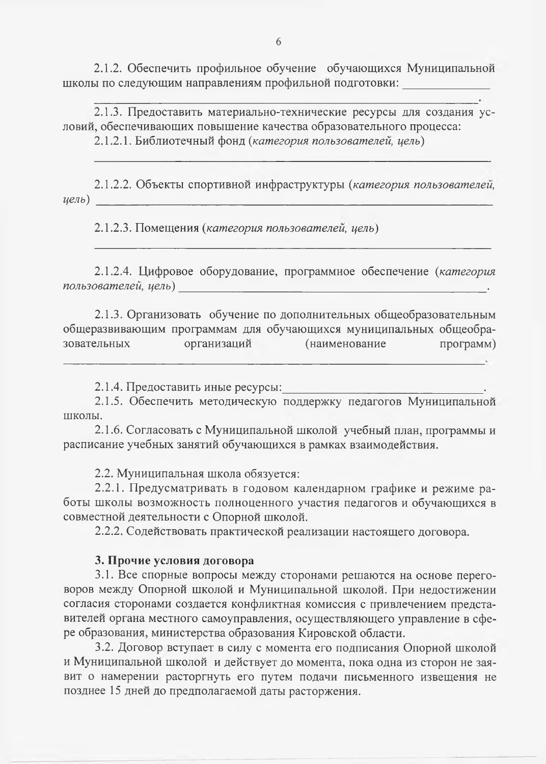2.1.2. Обеспечить профильное обучение обучающихся Муниципальной школы по следующим направлениям профильной подготовки:

2.1.3. Предоставить материально-технические ресурсы для создания условий, обеспечивающих повышение качества образовательного процесса:

2.1.2.1. Библиотечный фонд (категория пользователей, цель)

2.1.2.2. Объекты спортивной инфраструктуры (категория пользователей,  $(\mu e \pi b)$ 

2.1.2.3. Помещения (категория пользователей, цель)

2.1.2.4. Цифровое оборудование, программное обеспечение (категория пользователей, цель) <u> 1980 - Andrea Stadt Germany, amerikansk politik (d. 1980)</u>

2.1.3. Организовать обучение по дополнительных общеобразовательным общеразвивающим программам для обучающихся муниципальных общеобраорганизаций (наименование зовательных программ)

2.1.4. Предоставить иные ресурсы:

2.1.5. Обеспечить методическую поддержку педагогов Муниципальной ШКОЛЫ.

2.1.6. Согласовать с Муниципальной школой учебный план, программы и расписание учебных занятий обучающихся в рамках взаимодействия.

2.2. Муниципальная школа обязуется:

2.2.1. Предусматривать в годовом календарном графике и режиме работы школы возможность полноценного участия педагогов и обучающихся в совместной деятельности с Опорной школой.

2.2.2. Содействовать практической реализации настоящего договора.

### 3. Прочие условия договора

3.1. Все спорные вопросы между сторонами решаются на основе переговоров между Опорной школой и Муниципальной школой. При недостижении согласия сторонами создается конфликтная комиссия с привлечением представителей органа местного самоуправления, осуществляющего управление в сфере образования, министерства образования Кировской области.

3.2. Договор вступает в силу с момента его подписания Опориой школой и Муниципальной школой и действует до момента, пока одна из сторон не заявит о намерении расторгнуть его путем подачи письменного извещения не позднее 15 дней до предполагаемой даты расторжения.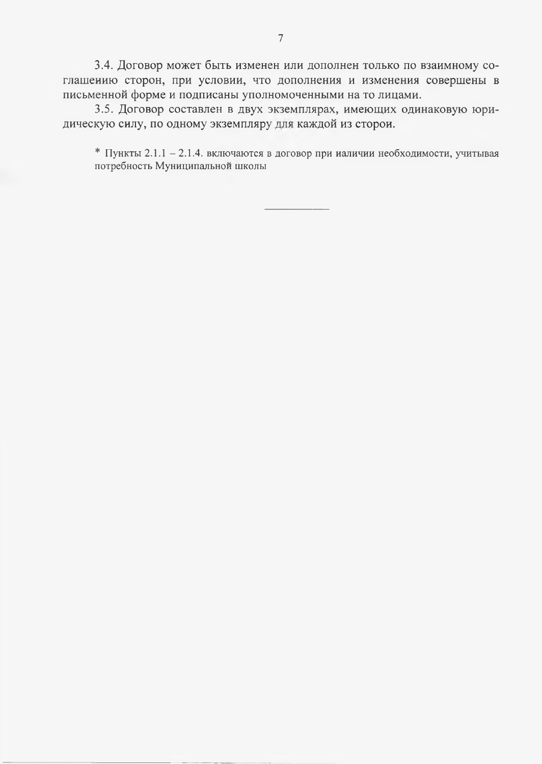3.4. Договор может быть изменен или дополнен только по взаимному соглашению сторон, при условии, что дополнения и изменения совершены в письменной форме и подписаны уполномоченными на то лицами.

3.5. Договор составлен в двух экземплярах, имеющих одинаковую юридическую силу, по одному экземпляру для каждой из сторои.

\* Пункты 2.1.1 - 2.1.4. включаются в договор при налични необходимости, учитывая потребность Муниципальной школы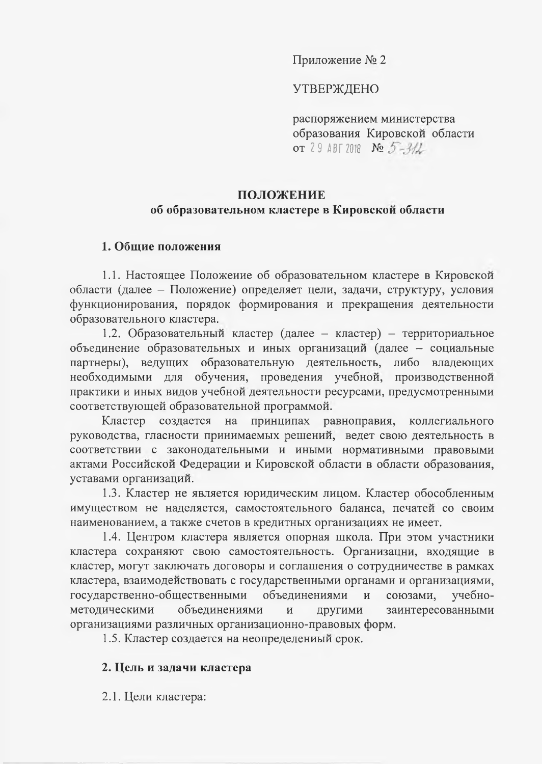Приложение № 2

# **УТВЕРЖДЕНО**

распоряжением министерства образования Кировской области **OT** 29 ABT 2018 No  $5-3/2$ 

# ПОЛОЖЕНИЕ

# об образовательном кластере в Кировской области

# 1. Общие положения

1.1. Настоящее Положеиие об образовательном кластере в Кировской области (далее - Положение) определяет цели, задачи, структуру, условия функционирования, порядок формирования и прекращения деятельности образовательного кластера.

1.2. Образовательный кластер (далее - кластер) - территориальное объединение образовательных и иных организаций (далее - социальные партнеры), ведущих образовательную деятельность, либо владеющих необходимыми для обучения, проведения учебной, производственной практики и иных видов учебной деятельности ресурсами, предусмотренными соответствующей образовательной программой.

создается на принципах равноправия, коллегиального Кластер руководства, гласности принимаемых решений, ведет свою деятельность в соответствии с законодательными и иными нормативными правовыми актами Российской Федерации и Кировской области в области образования, уставами организаций.

1.3. Кластер не является юридическим лицом. Кластер обособленным имуществом не наделяется, самостоятельного баланса, печатей со своим наименованием, а также счетов в кредитных организациях не имеет.

1.4. Центром кластера является опорная школа. При этом участники кластера сохраняют свою самостоятельность. Организацни, входящие в кластер, могут заключать договоры и соглашения о сотрудничестве в рамках кластера, взаимодействовать с государственными органами и организациями, государственно-общественными объединениями союзами, учебно- $\overline{M}$ методическими объединениями заинтересованными  $\boldsymbol{\mathrm{M}}$ другими организациями различных организационно-правовых форм.

1.5. Кластер создается на неопределениый срок.

# 2. Цель и задачи кластера

2.1. Цели кластера: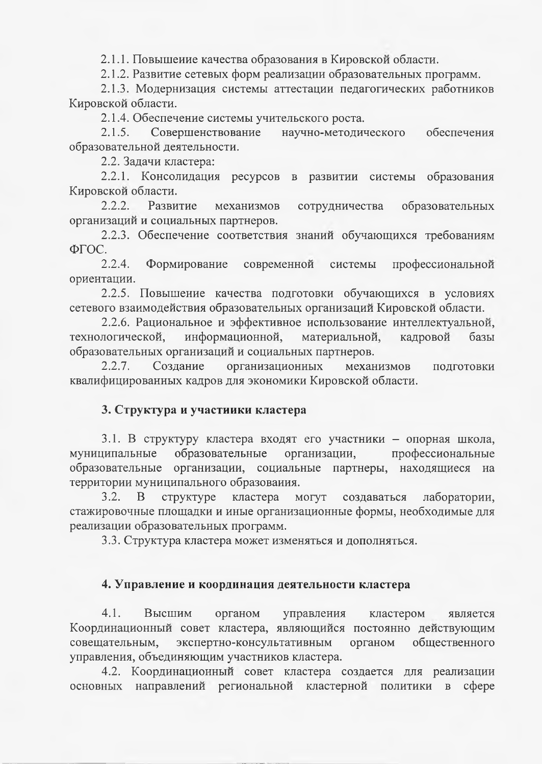2.1.1. Повышеиие качества образования в Кировской области.

2.1.2. Развитие сетевых форм реализации образовательных программ.

2.1.3. Модернизация системы аттестации педагогических работников Кировской области.

2.1.4. Обеспечение системы учительского роста.

Совершенствование  $2.1.5.$ научно-методического обеспечения образовательной деятельности.

2.2. Задачи кластера:

2.2.1. Консолидация ресурсов в развитии системы образования Кировской области.

 $2.2.2.$ Развитие механизмов сотрудничества образовательных организаций и социальных партнеров.

2.2.3. Обеспечение соответствия знаний обучающихся требованиям  $\Phi$  $\Gamma$ OC.

современной системы профессиональной Формирование  $2.2.4.$ ориентации.

2.2.5. Повышение качества подготовки обучающихся в условиях сетевого взаимодействия образовательных организаций Кировской области.

2.2.6. Рациональное и эффективное использование интеллектуальной, информационной, материальной, технологической, кадровой базы образовательных организаций и социальных партнеров.

организационных  $2.2.7.$ Создание механизмов подготовки квалифицированных кадров для экономики Кировской области.

# 3. Структура и участиики кластера

3.1. В структуру кластера входят его участники - опорная школа, образовательные организации, профессиональные муниципальные образовательные организации, социальные партнеры, находящиеся на территории муниципального образоваиия.

 $3.2.$ <sub>B</sub> структуре кластера могут создаваться лаборатории, стажировочные площадки и иные организационные формы, необходимые для реализации образовательных программ.

3.3. Структура кластера может изменяться и дополняться.

# 4. Управление и координация деятельности кластера

 $4.1.$ Высшим органом управления кластером является Координационный совет кластера, являющийся постоянно действующим совещательным, экспертно-консультативным органом общественного управления, объединяющим участников кластера.

4.2. Координационный совет кластера создается для реализации основных направлений региональной кластерной политики в сфере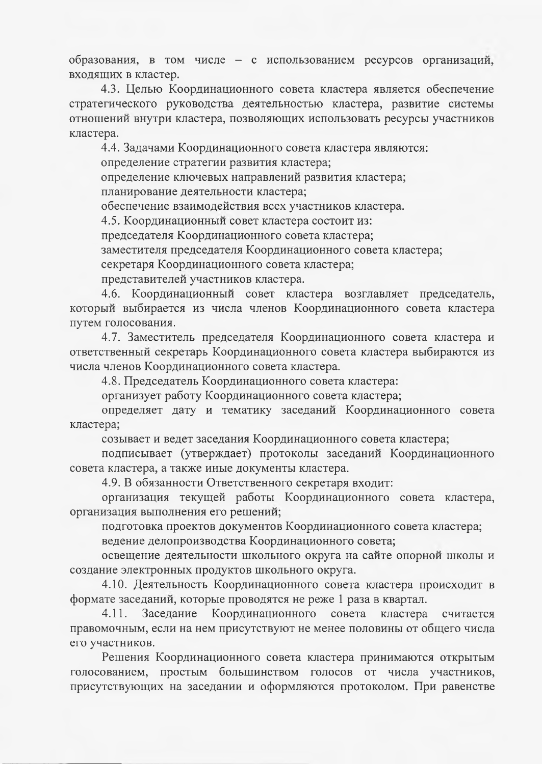образования, в том числе - с использованием ресурсов организаций, входящих в кластер.

4.3. Целью Координационного совета кластера является обеспечение стратегического руководства деятельностью кластера, развитие системы отношений внутри кластера, позволяющих использовать ресурсы участников кластера.

4.4. Задачами Координационного совета кластера являются:

определение стратегии развития кластера;

определение ключевых направлений развития кластера;

планирование деятельности кластера;

обеспечение взаимодействия всех участников кластера.

4.5. Координационный совет кластера состоит из:

председателя Координационного совета кластера;

заместителя председателя Координационного совета кластера;

секретаря Координационного совета кластера;

представителей участников кластера.

4.6. Координационный совет кластера возглавляет председатель, который выбирается из числа членов Координационного совета кластера путем голосования.

4.7. Заместитель председателя Координационного совета кластера и ответственный секретарь Координационного совета кластера выбираются из числа членов Координационного совета кластера.

4.8. Председатель Координационного совета кластера:

организует работу Координационного совета кластера;

определяет дату и тематику заседаний Координационного совета кластера;

созывает и ведет заседания Координационного совета кластера;

подписывает (утверждает) протоколы заседаний Координационного совета кластера, а также иные документы кластера.

4.9. В обязанности Ответственного секретаря входит:

организация текущей работы Координационного совета кластера, организация выполнения его решений;

подготовка проектов документов Координационного совета кластера;

ведение делопроизводства Координационного совета;

освещение деятельности школьного округа на сайте опорной школы и создание электронных продуктов школьного округа.

4.10. Деятельность Координационного совета кластера происходит в формате заседаний, которые проводятся не реже 1 раза в квартал.

Заседание Координационного совета  $4.11.$ кластера считается правомочным, если на нем присутствуют не менее половины от общего числа его участников.

Решения Координационного совета кластера принимаются открытым голосованием, простым большинством голосов от числа участников, присутствующих на заседании и оформляются протоколом. При равенстве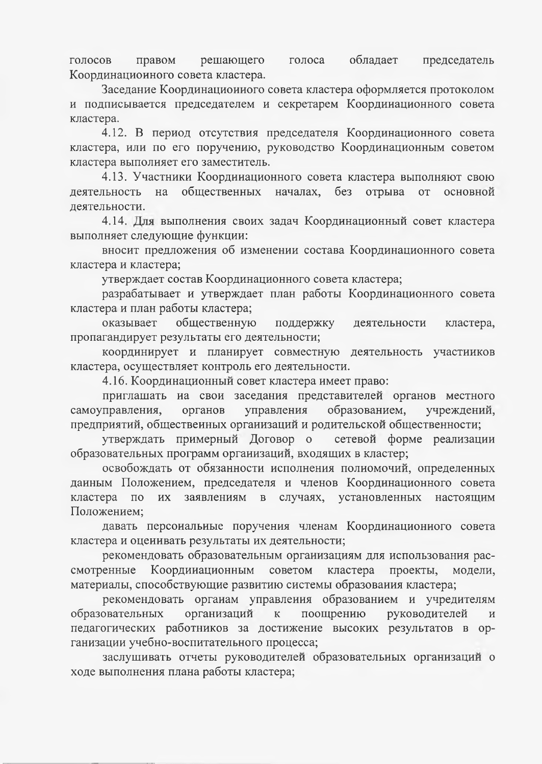обладает голосов правом решающего голоса председатель Координациоиного совета кластера.

Заседание Координационного совета кластера оформляется протоколом и подписывается председателем и секретарем Координационного совета кластера.

4.12. В период отсутствия председателя Координационного совета кластера, или по его поручению, руководство Координационным советом кластера выполияет его заместитель.

4.13. Участники Координационного совета кластера выполняют свою деятельность на общественных началах, без отрыва от основной деятельности.

4.14. Для выполнения своих задач Координационный совет кластера выполняет следующие функции:

вносит предложения об изменении состава Координационного совета кластера и кластера;

утверждает состав Координационного совета кластера;

разрабатывает и утверждает план работы Координационного совета кластера и план работы кластера;

общественную оказывает поддержку деятельности кластера, пропагандирует результаты его деятельности;

координирует и планирует совместную деятельность участииков кластера, осуществляет контроль его деятельности.

4.16. Координационный совет кластера имеет право:

приглашать на свои заседания представителей органов местного управления образованием, самоуправления, учреждений, органов предприятий, общественных организаций и родительской общественности;

утверждать примерный Договор о сетевой форме реализации образовательных программ организаций, входящих в кластер;

освобождать от обязанности исполнения полномочий, определенных даиным Положением, председателя и членов Координационного совета кластера по заявлениям в случаях, установленных **HX** настоящим Положением;

давать персональные поручения членам Координационного совета кластера и оценнвать результаты их деятельности;

рекомендовать образовательным организациям для использования рассмотренные Координационным советом кластера проекты, модели, материалы, способствующие развитию системы образования кластера;

рекомендовать органам управлення образованием и учредителям организаций поощрению образовательных  $\overline{\mathbf{K}}$ руководителей  $\overline{M}$ педагогических работников за достижение высоких результатов в организации учебно-воспитательного процесса;

заслушивать отчеты руководителей образовательных организаций о ходе выполнения плана работы кластера;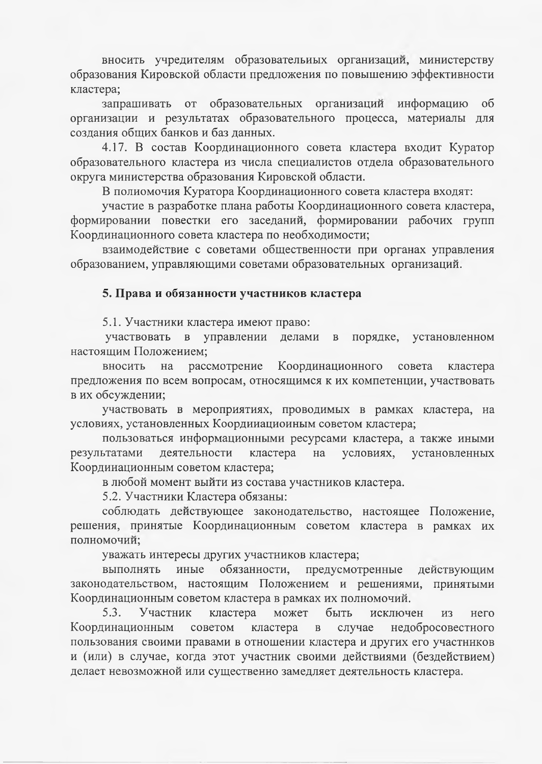вносить учредителям образовательных организаций, министерству образования Кировской области предложения по повышению эффективности кластера;

запрашивать от образовательных организаций информацию  $\overline{00}$ организации и результатах образовательного процесса, материалы для создания общих банков и баз данных.

4.17. В состав Координационного совета кластера входит Куратор образовательного кластера из числа специалистов отдела образовательного округа министерства образования Кировской области.

В полиомочия Куратора Координационного совета кластера входят:

участие в разработке плана работы Координационного совета кластера, формировании повестки его заседаний, формировании рабочих групп Координационного совета кластера по необходимости;

взаимодействие с советами общественности при органах управления образованием, управляющими советами образовательных организаций.

### 5. Права и обязанности участников кластера

5.1. Участники кластера имеют право:

участвовать в управлении делами  $\, {\bf B}$ порядке, установленном настоящим Положением;

рассмотрение Координационного совета вносить на кластера предложения по всем вопросам, относящимся к их компетенции, участвовать в их обсуждении;

участвовать в мероприятиях, проводимых в рамках кластера, на условиях, установленных Коордииациоиным советом кластера;

пользоваться информационными ресурсами кластера, а также иными деятельности кластера условиях, установленных результатами на Координационным советом кластера;

в любой момент выйти из состава участников кластера.

5.2. Участники Кластера обязаны:

соблюдать действующее законодательство, настоящее Положение, решения, принятые Координационным советом кластера в рамках их полномочий;

уважать интересы других участников кластера;

иные обязанности, предусмотренные выполнять действующим законодательством, настоящим Положением и решениями, принятыми Координационным советом кластера в рамках их полномочий.

 $5.3.$ Участник кластера может быть исключен **H3** него Координационным случае недобросовестного советом кластера  $\, {\bf B}$ пользования своими правами в отношении кластера и других его участников и (или) в случае, когда этот участник своими действиями (бездействием) делает невозможной или существенно замедляет деятельность кластера.